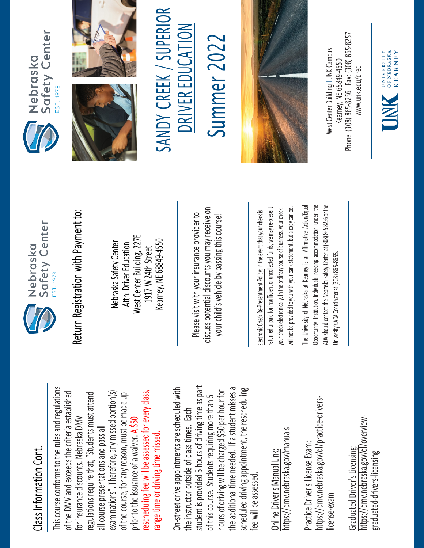## Class Information Cont. Class Information Cont.

This course conforms to the rules and regulations This course conforms to the rules and regulations rescheduling fee will be assessed for every class, examinations". Therefore, any missed portion(s) of the DMV and exceeds the criteria established regulations require that, "Students must attend rescheduling fee will be assessed for every class, of the DMV and exceeds the criteria established examinations". Therefore, any missed portion(s) of the course, for any reason, must be made up regulations require that, "Students must attend of the course, for any reason, must be made up for insurance discounts. Nebraska DMV for insurance discounts. Nebraska DMV prior to the issuance of a waiver. A \$50 all course presentations and pass all all course presentations and pass all range time or driving time missed. prior to the issuance of a waiver. range time or driving time missed

student is provided 5 hours of driving time as part On-street drive appointments are scheduled with student is provided 5 hours of driving time as part the additional time needed. If a student misses a scheduled driving appointment, the rescheduling the additional time needed. If a student misses a On-street drive appointments are scheduled with hours of driving will be charged \$50 per hour for hours of driving will be charged \$50 per hour for scheduled driving appointment, the rescheduling of this course. Students requiring more than 5 of this course. Students requiring more than 5 the instructor outside of class times. Each the instructor outside of class times. Each fee will be assessed. fee will be assessed

https://dmv.nebraska.gov/manuals https://dmv.nebraska.gov/manuals Online Driver's Manual Link: Online Driver's Manual Link:

https://dmv.nebraska.gov/dl/practice-drivershttps://dmv.nebraska.gov/dl/practice-drivers-Practice Driver's License Exam: Practice Driver's License Exam: license-exam icense-exam

https://dmv.nebraska.gov/dl/overviewhttps://dmv.nebraska.gov/dl/overview-Graduated Driver's Licensing: Graduated Driver's Licensing: graduated-drivers-licensing graduated-drivers-licensing



Nebraska Safety Center Attn: Driver Education West Center Building, 227E 1917 W 24th Street Kearney, NE 68849-4550

Please visit with your insurance provider to discuss potential discounts you may receive on potential discounts you may receive on your child's vehicle by passing this course! Return Registration with Payment to:<br>
Nebraska Safety Center<br>
Attn: Driver Education<br>
1917 W 24th Street<br>
Kearney, NE 68849-4550<br>
Rease visit with your insurance provider to<br>
discuss potential discounts you may receive on<br>

returned unpaid for insufficient or uncollected funds, we may re-present a copy can be. will not be provided to you with your bank statement, but a copy can be. returned unpaid for insufficient or uncollected funds, we may re-present your check electronically. In the ordinary course of business, your check your check electronically. In the ordinary course of business, your check will not be provided to you with your bank statement, but

The University of Nebraska at Kearney is an Affirmative Action/Equal Opportunity Institution. Individuals needing accommodation under the ADA should contact the Nebraska Safety Center at (308) 865-8256 or the The University of Nebraska at Kearney is an Affirmative Action/Equal Opportunity Institution. Individuals needing accommodation under the ADA should contact the Nebraska Safety Center at (308) 865-8256 or the University's ADA Coordinator at (308) 865-8655. University's ADA Coordinator at (308) 86







SANDY CREEK / SUPERIOR<br>DRIVER EDUCATION Summer 202 Summer 2022



Phone: (308) 865-8256 | Fax: (308) 865-8257 West Center Building I UNK Campus Nest Center Building I UNK Campus -8256 I Fax: (308) 865 Kearney, NE 68849-4550 www.unk.edu/dred [www.unk.edu/dred](http://www.unk.edu/dred) Kearney, NE 68849 Phone: (308) 865

UNIVERSITY<br>
OF NEBRASKA<br>
KFARNEY **KEARNEY**